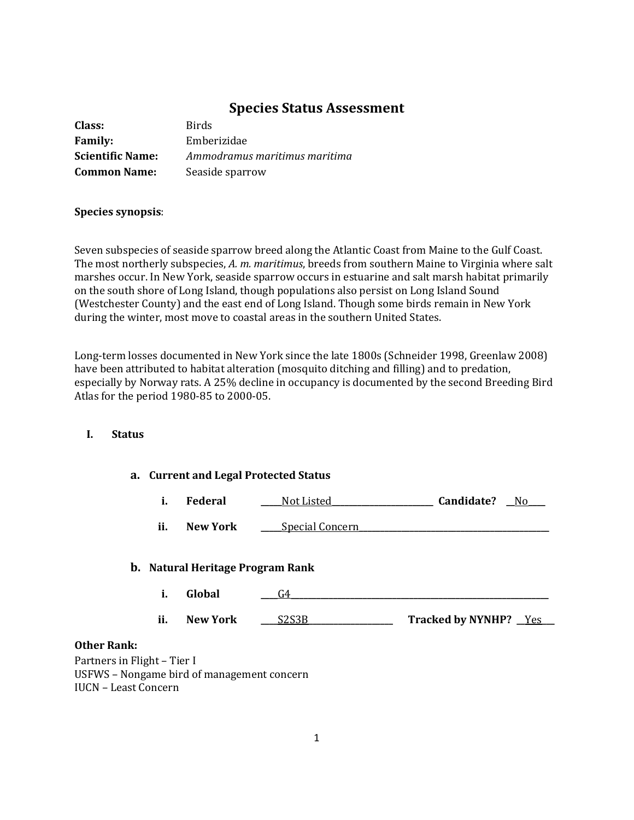# **Species Status Assessment**

| Class:                  | <b>Birds</b>                  |
|-------------------------|-------------------------------|
| <b>Family:</b>          | Emberizidae                   |
| <b>Scientific Name:</b> | Ammodramus maritimus maritima |
| <b>Common Name:</b>     | Seaside sparrow               |

#### **Species synopsis**:

Seven subspecies of seaside sparrow breed along the Atlantic Coast from Maine to the Gulf Coast. The most northerly subspecies, *A. m. maritimus*, breeds from southern Maine to Virginia where salt marshes occur. In New York, seaside sparrow occurs in estuarine and salt marsh habitat primarily on the south shore of Long Island, though populations also persist on Long Island Sound (Westchester County) and the east end of Long Island. Though some birds remain in New York during the winter, most move to coastal areas in the southern United States.

Long-term losses documented in New York since the late 1800s (Schneider 1998, Greenlaw 2008) have been attributed to habitat alteration (mosquito ditching and filling) and to predation, especially by Norway rats. A 25% decline in occupancy is documented by the second Breeding Bird Atlas for the period 1980-85 to 2000-05.

## **I. Status**

| a. Current and Legal Protected Status |  |
|---------------------------------------|--|
|---------------------------------------|--|

| <b>Federal</b> | Not Listed | Candidate? | No |
|----------------|------------|------------|----|
|                |            |            |    |

**ii. New York Special Concern** 

### **b. Natural Heritage Program Rank**

- **i. Global \_\_\_\_**G4**\_\_\_\_\_\_\_\_\_\_\_\_\_\_\_\_\_\_\_\_\_\_\_\_\_\_\_\_\_\_\_\_\_\_\_\_\_\_\_\_\_\_\_\_\_\_\_\_\_\_\_\_\_\_\_\_\_\_\_\_\_**
- **ii. New York \_\_\_\_**S2S3B**\_\_\_\_\_\_\_\_\_\_\_\_\_\_\_\_\_\_\_\_ Tracked by NYNHP? \_\_**Yes**\_\_\_**

#### **Other Rank:**

Partners in Flight – Tier I USFWS – Nongame bird of management concern IUCN – Least Concern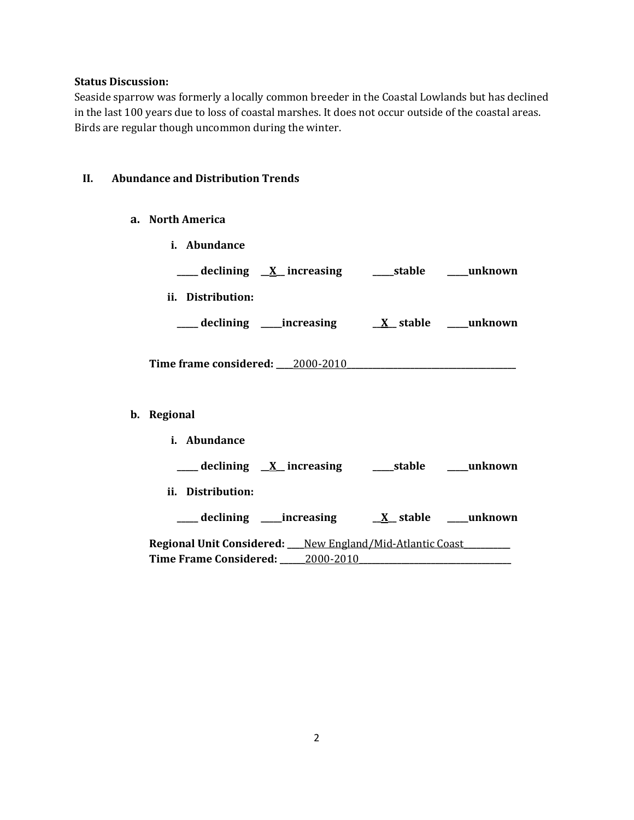#### **Status Discussion:**

Seaside sparrow was formerly a locally common breeder in the Coastal Lowlands but has declined in the last 100 years due to loss of coastal marshes. It does not occur outside of the coastal areas. Birds are regular though uncommon during the winter.

#### **II. Abundance and Distribution Trends**

- **a. North America**
- **i. Abundance \_\_\_\_\_ declining \_\_X\_\_ increasing \_\_\_\_\_stable \_\_\_\_\_unknown ii. Distribution: \_\_\_\_\_ declining \_\_\_\_\_increasing \_\_X\_\_ stable \_\_\_\_\_unknown** Time frame considered: <u>2000-2010</u> **b. Regional i. Abundance \_\_\_\_\_ declining \_\_X\_\_ increasing \_\_\_\_\_stable \_\_\_\_\_unknown ii. Distribution: \_\_\_\_\_ declining \_\_\_\_\_increasing \_\_X\_\_ stable \_\_\_\_\_unknown Regional Unit Considered: \_\_\_\_**New England/Mid-Atlantic Coast**\_\_\_\_\_\_\_\_\_\_\_ Time Frame Considered: \_\_\_\_\_\_**2000-2010**\_\_\_\_\_\_\_\_\_\_\_\_\_\_\_\_\_\_\_\_\_\_\_\_\_\_\_\_\_\_\_\_\_\_\_\_**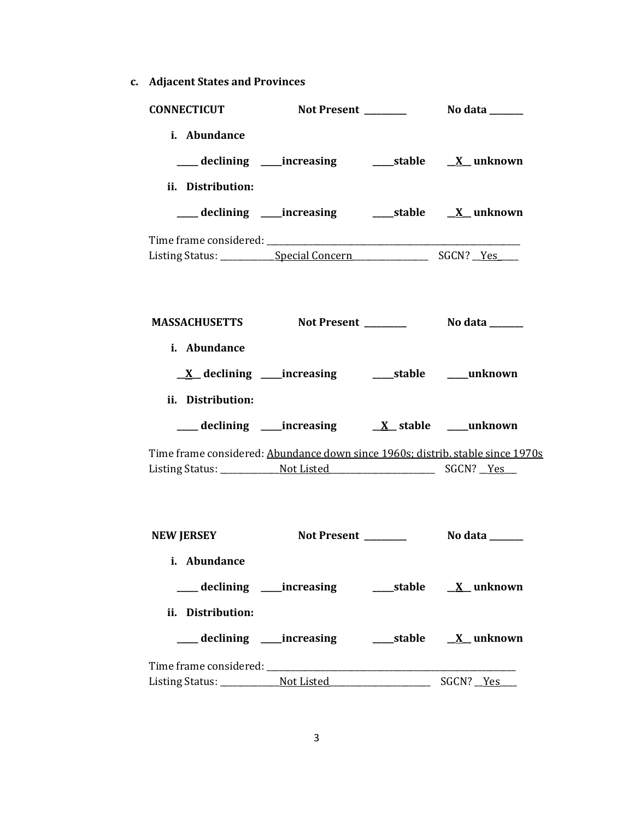**c. Adjacent States and Provinces**

| <b>CONNECTICUT</b>                                                             |                                                                          |                 |
|--------------------------------------------------------------------------------|--------------------------------------------------------------------------|-----------------|
| i. Abundance                                                                   | ___ declining ____increasing _____________stable ____ <u>X</u> __unknown |                 |
| ii. Distribution:                                                              | ___declining ___increasing _____stable __ <u>X</u> _unknown              |                 |
|                                                                                |                                                                          |                 |
| MASSACHUSETTS Not Present Not also No data No. 2016.                           |                                                                          |                 |
| i. Abundance                                                                   | <u>X</u> declining ____increasing _______stable _____unknown             |                 |
| ii. Distribution:                                                              |                                                                          |                 |
| Time frame considered: Abundance down since 1960s; distrib. stable since 1970s |                                                                          |                 |
| NEW JERSEY                                                                     | Not Present                                                              | No data _______ |
| i. Abundance                                                                   | ___ declining ____increasing ______stable ___ X__unknown                 |                 |
| ii. Distribution:                                                              |                                                                          |                 |
|                                                                                |                                                                          |                 |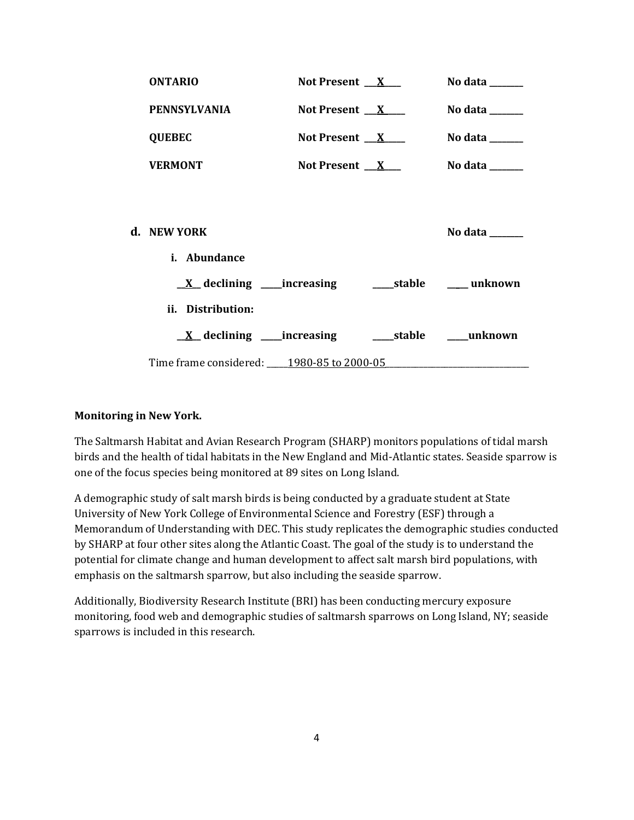| <b>ONTARIO</b>                                 | Not Present $X_{-}$ | No data ______                      |
|------------------------------------------------|---------------------|-------------------------------------|
| PENNSYLVANIA                                   | Not Present $X$     | No data $\_\_\_\_\_\_\_\_\_\_\_\$   |
| <b>QUEBEC</b>                                  | Not Present $X$     | No data $\_\_$                      |
| <b>VERMONT</b>                                 | Not Present $X$     | No data $\_\_$                      |
|                                                |                     |                                     |
| d. NEW YORK                                    |                     | No data $\_\_\_\_\_\_\_\_\_\_\_\_\$ |
| i. Abundance                                   |                     |                                     |
|                                                |                     |                                     |
| ii. Distribution:                              |                     |                                     |
|                                                |                     |                                     |
| Time frame considered: ____ 1980-85 to 2000-05 |                     |                                     |

## **Monitoring in New York.**

The Saltmarsh Habitat and Avian Research Program (SHARP) monitors populations of tidal marsh birds and the health of tidal habitats in the New England and Mid-Atlantic states. Seaside sparrow is one of the focus species being monitored at 89 sites on Long Island.

A demographic study of salt marsh birds is being conducted by a graduate student at State University of New York College of Environmental Science and Forestry (ESF) through a Memorandum of Understanding with DEC. This study replicates the demographic studies conducted by SHARP at four other sites along the Atlantic Coast. The goal of the study is to understand the potential for climate change and human development to affect salt marsh bird populations, with emphasis on the saltmarsh sparrow, but also including the seaside sparrow.

Additionally, Biodiversity Research Institute (BRI) has been conducting mercury exposure monitoring, food web and demographic studies of saltmarsh sparrows on Long Island, NY; seaside sparrows is included in this research.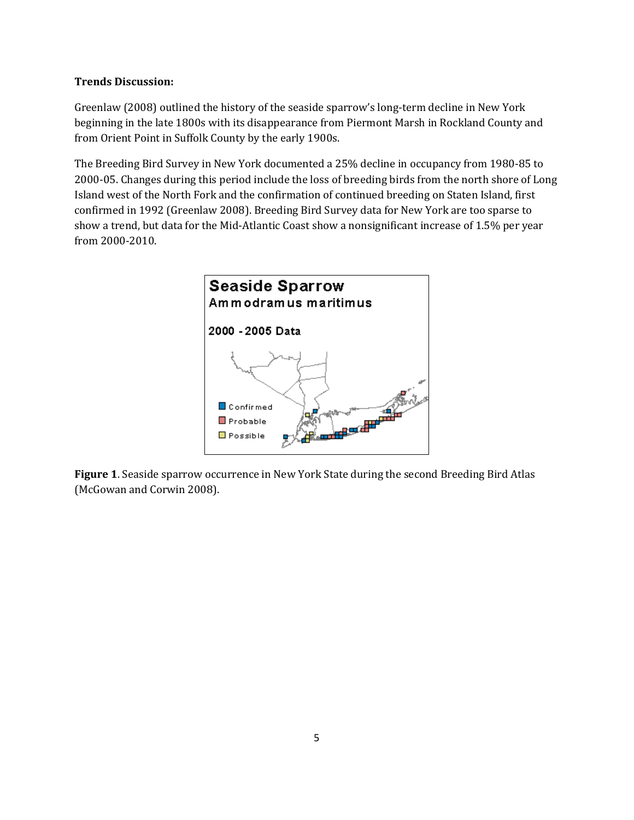## **Trends Discussion:**

Greenlaw (2008) outlined the history of the seaside sparrow's long-term decline in New York beginning in the late 1800s with its disappearance from Piermont Marsh in Rockland County and from Orient Point in Suffolk County by the early 1900s.

The Breeding Bird Survey in New York documented a 25% decline in occupancy from 1980-85 to 2000-05. Changes during this period include the loss of breeding birds from the north shore of Long Island west of the North Fork and the confirmation of continued breeding on Staten Island, first confirmed in 1992 (Greenlaw 2008). Breeding Bird Survey data for New York are too sparse to show a trend, but data for the Mid-Atlantic Coast show a nonsignificant increase of 1.5% per year from 2000-2010.



**Figure 1**. Seaside sparrow occurrence in New York State during the second Breeding Bird Atlas (McGowan and Corwin 2008).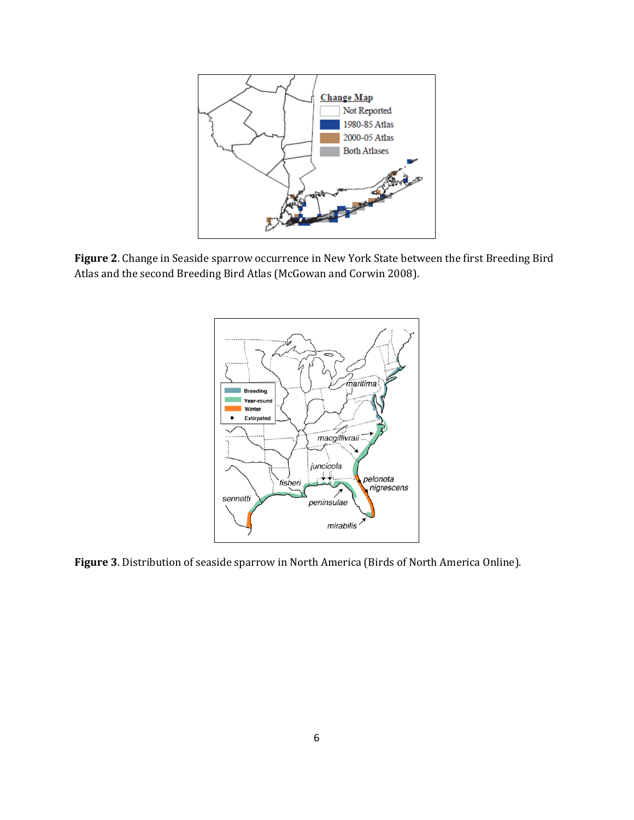

**Figure 2**. Change in Seaside sparrow occurrence in New York State between the first Breeding Bird Atlas and the second Breeding Bird Atlas (McGowan and Corwin 2008).



**Figure 3**. Distribution of seaside sparrow in North America (Birds of North America Online).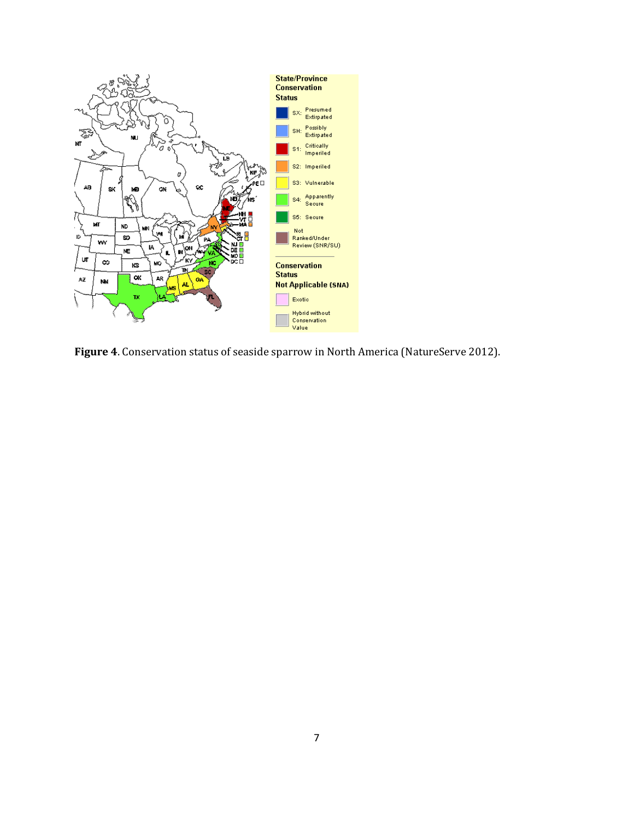

**Figure 4**. Conservation status of seaside sparrow in North America (NatureServe 2012).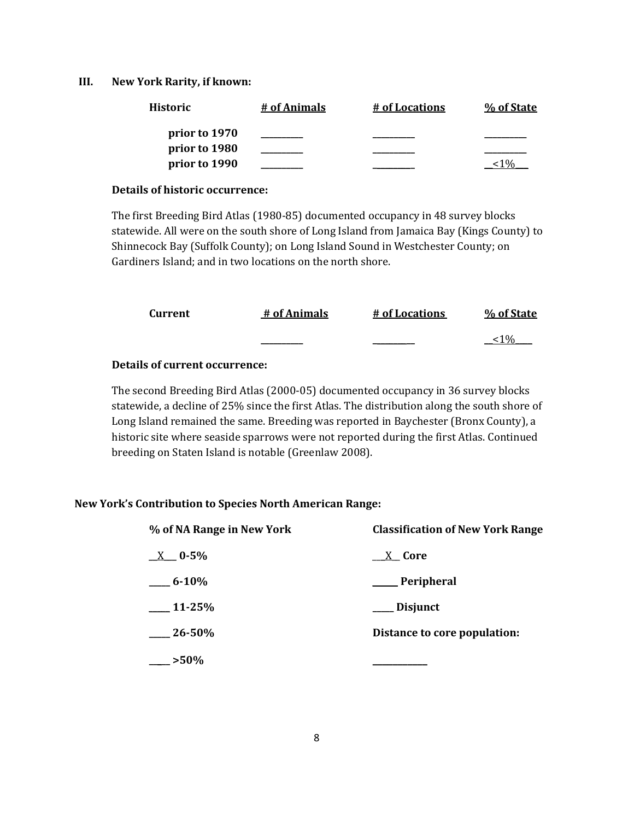#### **III. New York Rarity, if known:**

| Historic      | # of Animals | # of Locations | % of State |
|---------------|--------------|----------------|------------|
| prior to 1970 |              |                |            |
| prior to 1980 |              |                |            |
| prior to 1990 |              |                |            |

#### **Details of historic occurrence:**

The first Breeding Bird Atlas (1980-85) documented occupancy in 48 survey blocks statewide. All were on the south shore of Long Island from Jamaica Bay (Kings County) to Shinnecock Bay (Suffolk County); on Long Island Sound in Westchester County; on Gardiners Island; and in two locations on the north shore.

| Current | # of Animals | # of Locations | % of State |
|---------|--------------|----------------|------------|
|         | ________     |                | 0/         |

## **Details of current occurrence:**

The second Breeding Bird Atlas (2000-05) documented occupancy in 36 survey blocks statewide, a decline of 25% since the first Atlas. The distribution along the south shore of Long Island remained the same. Breeding was reported in Baychester (Bronx County), a historic site where seaside sparrows were not reported during the first Atlas. Continued breeding on Staten Island is notable (Greenlaw 2008).

### **New York's Contribution to Species North American Range:**

| % of NA Range in New York | <b>Classification of New York Range</b> |  |
|---------------------------|-----------------------------------------|--|
| $X = 0.5\%$               | $X$ Core                                |  |
| $-6 - 10\%$               | ____ Peripheral                         |  |
| $-11 - 25%$               | __ Disjunct                             |  |
| $-26 - 50%$               | Distance to core population:            |  |
| $-$ >50%                  |                                         |  |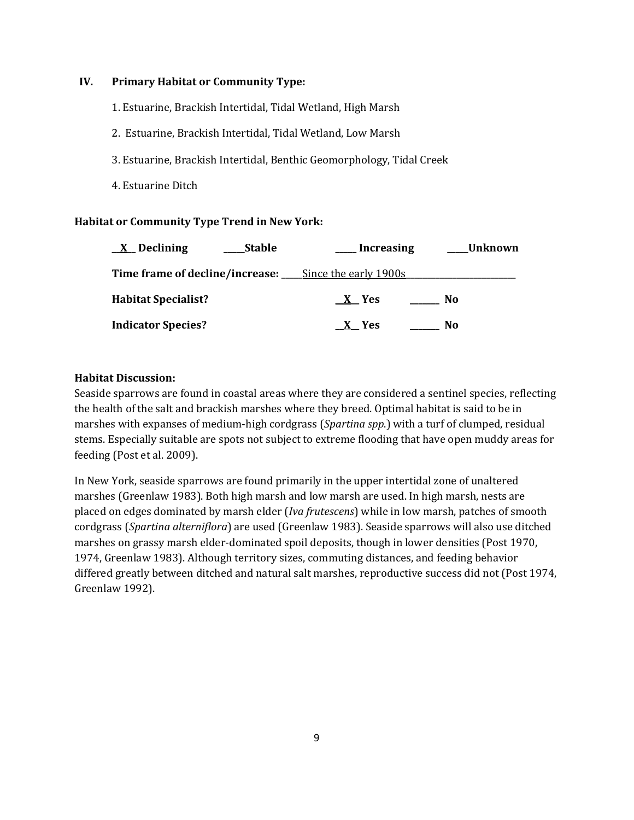## **IV. Primary Habitat or Community Type:**

- 1. Estuarine, Brackish Intertidal, Tidal Wetland, High Marsh
- 2. Estuarine, Brackish Intertidal, Tidal Wetland, Low Marsh
- 3. Estuarine, Brackish Intertidal, Benthic Geomorphology, Tidal Creek
- 4. Estuarine Ditch

## **Habitat or Community Type Trend in New York:**

| $\underline{X}$ Declining  | Stable | Increasing                                                           | ___Unknown |
|----------------------------|--------|----------------------------------------------------------------------|------------|
|                            |        | <b>Time frame of decline/increase:</b> _______Since the early 1900s_ |            |
| <b>Habitat Specialist?</b> |        | $X$ Yes                                                              | No.        |
| <b>Indicator Species?</b>  |        | X Yes                                                                | No.        |

### **Habitat Discussion:**

Seaside sparrows are found in coastal areas where they are considered a sentinel species, reflecting the health of the salt and brackish marshes where they breed. Optimal habitat is said to be in marshes with expanses of medium-high cordgrass (*Spartina spp*.) with a turf of clumped, residual stems. Especially suitable are spots not subject to extreme flooding that have open muddy areas for feeding (Post et al. 2009).

In New York, seaside sparrows are found primarily in the upper intertidal zone of unaltered marshes (Greenlaw 1983). Both high marsh and low marsh are used. In high marsh, nests are placed on edges dominated by marsh elder (*Iva frutescens*) while in low marsh, patches of smooth cordgrass (*Spartina alterniflora*) are used (Greenlaw 1983). Seaside sparrows will also use ditched marshes on grassy marsh elder-dominated spoil deposits, though in lower densities (Post 1970, 1974, Greenlaw 1983). Although territory sizes, commuting distances, and feeding behavior differed greatly between ditched and natural salt marshes, reproductive success did not (Post 1974, Greenlaw 1992).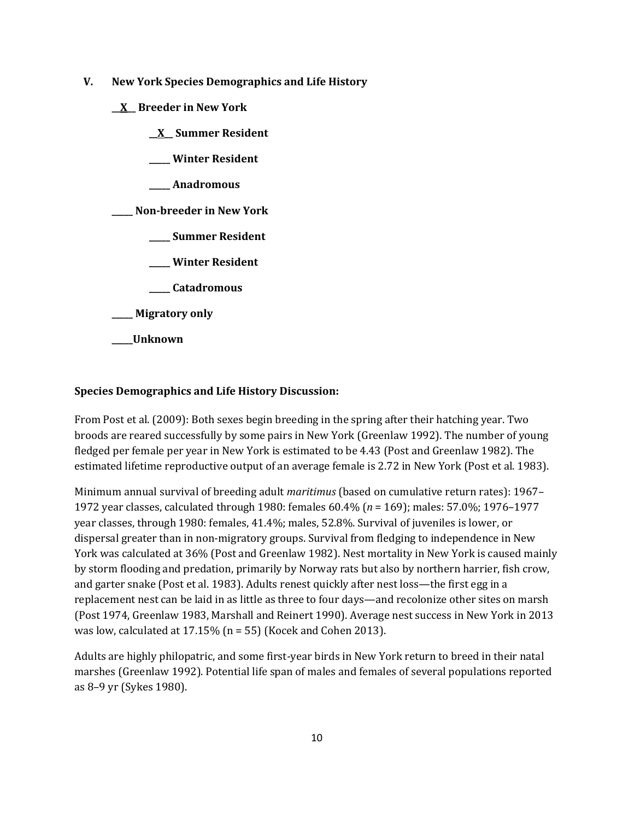- **V. New York Species Demographics and Life History**
	- **\_\_X\_\_ Breeder in New York**
		- **\_\_X\_\_ Summer Resident**
		- **\_\_\_\_\_ Winter Resident**
		- **\_\_\_\_\_ Anadromous**

**\_\_\_\_\_ Non-breeder in New York**

- **\_\_\_\_\_ Summer Resident**
- **\_\_\_\_\_ Winter Resident**
- **\_\_\_\_\_ Catadromous**
- **\_\_\_\_\_ Migratory only**
- **\_\_\_\_\_Unknown**

### **Species Demographics and Life History Discussion:**

From Post et al. (2009): Both sexes begin breeding in the spring after their hatching year. Two broods are reared successfully by some pairs in New York (Greenlaw 1992). The number of young fledged per female per year in New York is estimated to be 4.43 (Post and Greenlaw 1982). The estimated lifetime reproductive output of an average female is 2.72 in New York (Post et al. 1983).

Minimum annual survival of breeding adult *maritimus* (based on cumulative return rates): 1967– 1972 year classes, calculated through 1980: females 60.4% (*n* = 169); males: 57.0%; 1976–1977 year classes, through 1980: females, 41.4%; males, 52.8%. Survival of juveniles is lower, or dispersal greater than in non-migratory groups. Survival from fledging to independence in New York was calculated at 36% (Post and Greenlaw 1982). Nest mortality in New York is caused mainly by storm flooding and predation, primarily by Norway rats but also by northern harrier, fish crow, and garter snake (Post et al. 1983). Adults renest quickly after nest loss—the first egg in a replacement nest can be laid in as little as three to four days—and recolonize other sites on marsh (Post 1974, Greenlaw 1983, Marshall and Reinert 1990). Average nest success in New York in 2013 was low, calculated at 17.15% (n = 55) (Kocek and Cohen 2013).

Adults are highly philopatric, and some first-year birds in New York return to breed in their natal marshes (Greenlaw 1992). Potential life span of males and females of several populations reported as 8–9 yr (Sykes 1980).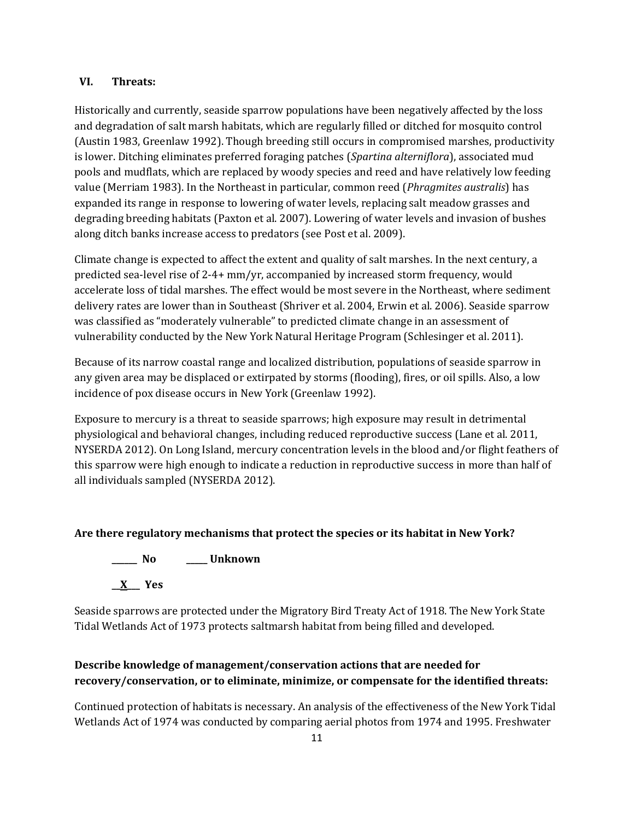#### **VI. Threats:**

Historically and currently, seaside sparrow populations have been negatively affected by the loss and degradation of salt marsh habitats, which are regularly filled or ditched for mosquito control (Austin 1983, Greenlaw 1992). Though breeding still occurs in compromised marshes, productivity is lower. Ditching eliminates preferred foraging patches (*Spartina alterniflora*), associated mud pools and mudflats, which are replaced by woody species and reed and have relatively low feeding value (Merriam 1983). In the Northeast in particular, common reed (*Phragmites australis*) has expanded its range in response to lowering of water levels, replacing salt meadow grasses and degrading breeding habitats (Paxton et al. 2007). Lowering of water levels and invasion of bushes along ditch banks increase access to predators (see Post et al. 2009).

Climate change is expected to affect the extent and quality of salt marshes. In the next century, a predicted sea-level rise of 2-4+ mm/yr, accompanied by increased storm frequency, would accelerate loss of tidal marshes. The effect would be most severe in the Northeast, where sediment delivery rates are lower than in Southeast (Shriver et al. 2004, Erwin et al. 2006). Seaside sparrow was classified as "moderately vulnerable" to predicted climate change in an assessment of vulnerability conducted by the New York Natural Heritage Program (Schlesinger et al. 2011).

Because of its narrow coastal range and localized distribution, populations of seaside sparrow in any given area may be displaced or extirpated by storms (flooding), fires, or oil spills. Also, a low incidence of pox disease occurs in New York (Greenlaw 1992).

Exposure to mercury is a threat to seaside sparrows; high exposure may result in detrimental physiological and behavioral changes, including reduced reproductive success (Lane et al. 2011, NYSERDA 2012). On Long Island, mercury concentration levels in the blood and/or flight feathers of this sparrow were high enough to indicate a reduction in reproductive success in more than half of all individuals sampled (NYSERDA 2012).

### **Are there regulatory mechanisms that protect the species or its habitat in New York?**



Seaside sparrows are protected under the Migratory Bird Treaty Act of 1918. The New York State Tidal Wetlands Act of 1973 protects saltmarsh habitat from being filled and developed.

## **Describe knowledge of management/conservation actions that are needed for recovery/conservation, or to eliminate, minimize, or compensate for the identified threats:**

Continued protection of habitats is necessary. An analysis of the effectiveness of the New York Tidal Wetlands Act of 1974 was conducted by comparing aerial photos from 1974 and 1995. Freshwater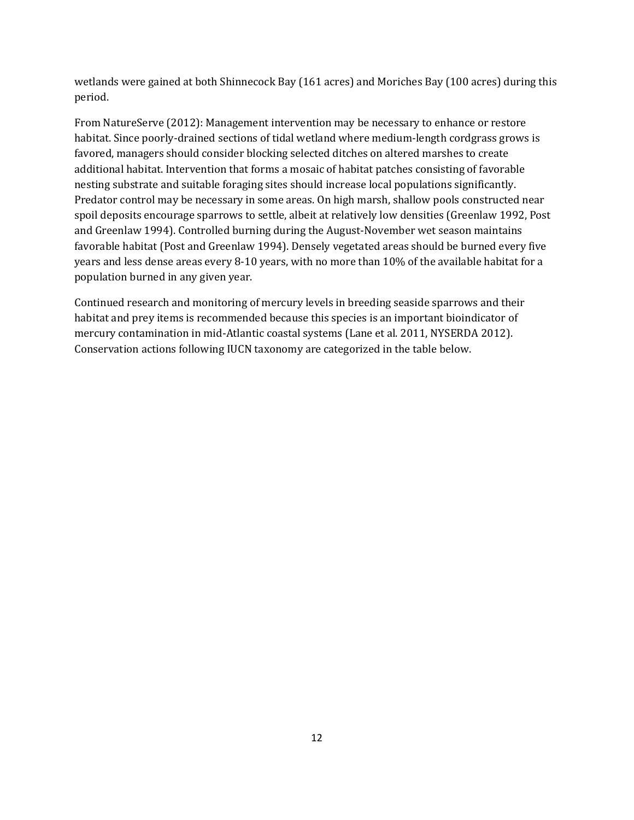wetlands were gained at both Shinnecock Bay (161 acres) and Moriches Bay (100 acres) during this period.

From NatureServe (2012): Management intervention may be necessary to enhance or restore habitat. Since poorly-drained sections of tidal wetland where medium-length cordgrass grows is favored, managers should consider blocking selected ditches on altered marshes to create additional habitat. Intervention that forms a mosaic of habitat patches consisting of favorable nesting substrate and suitable foraging sites should increase local populations significantly. Predator control may be necessary in some areas. On high marsh, shallow pools constructed near spoil deposits encourage sparrows to settle, albeit at relatively low densities (Greenlaw 1992, Post and Greenlaw 1994). Controlled burning during the August-November wet season maintains favorable habitat (Post and Greenlaw 1994). Densely vegetated areas should be burned every five years and less dense areas every 8-10 years, with no more than 10% of the available habitat for a population burned in any given year.

Continued research and monitoring of mercury levels in breeding seaside sparrows and their habitat and prey items is recommended because this species is an important bioindicator of mercury contamination in mid-Atlantic coastal systems (Lane et al. 2011, NYSERDA 2012). Conservation actions following IUCN taxonomy are categorized in the table below.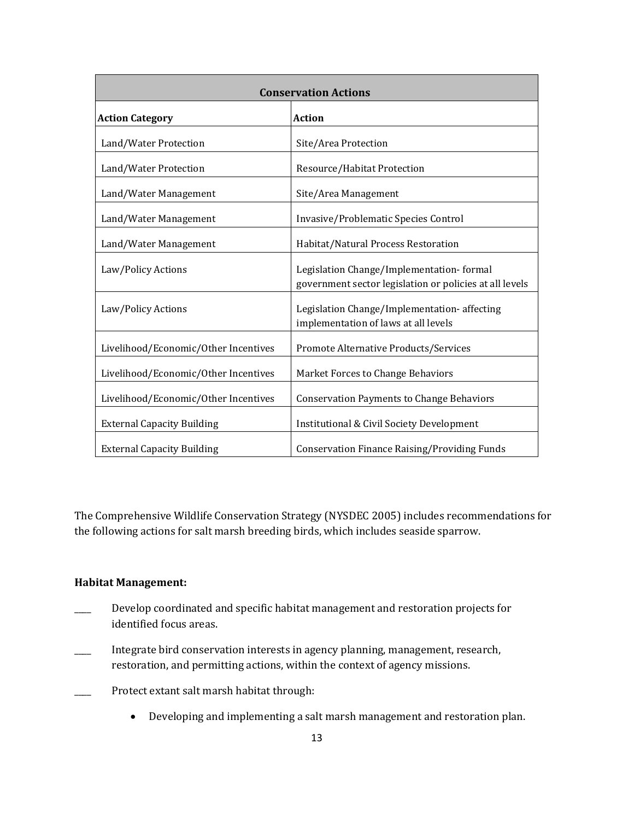| <b>Conservation Actions</b>          |                                                                                                     |  |
|--------------------------------------|-----------------------------------------------------------------------------------------------------|--|
| <b>Action Category</b>               | <b>Action</b>                                                                                       |  |
| Land/Water Protection                | Site/Area Protection                                                                                |  |
| Land/Water Protection                | Resource/Habitat Protection                                                                         |  |
| Land/Water Management                | Site/Area Management                                                                                |  |
| Land/Water Management                | Invasive/Problematic Species Control                                                                |  |
| Land/Water Management                | Habitat/Natural Process Restoration                                                                 |  |
| Law/Policy Actions                   | Legislation Change/Implementation-formal<br>government sector legislation or policies at all levels |  |
| Law/Policy Actions                   | Legislation Change/Implementation-affecting<br>implementation of laws at all levels                 |  |
| Livelihood/Economic/Other Incentives | Promote Alternative Products/Services                                                               |  |
| Livelihood/Economic/Other Incentives | Market Forces to Change Behaviors                                                                   |  |
| Livelihood/Economic/Other Incentives | <b>Conservation Payments to Change Behaviors</b>                                                    |  |
| <b>External Capacity Building</b>    | Institutional & Civil Society Development                                                           |  |
| <b>External Capacity Building</b>    | <b>Conservation Finance Raising/Providing Funds</b>                                                 |  |

The Comprehensive Wildlife Conservation Strategy (NYSDEC 2005) includes recommendations for the following actions for salt marsh breeding birds, which includes seaside sparrow.

## **Habitat Management:**

- Develop coordinated and specific habitat management and restoration projects for identified focus areas.
- \_\_\_\_ Integrate bird conservation interests in agency planning, management, research, restoration, and permitting actions, within the context of agency missions.
- Protect extant salt marsh habitat through:
	- Developing and implementing a salt marsh management and restoration plan.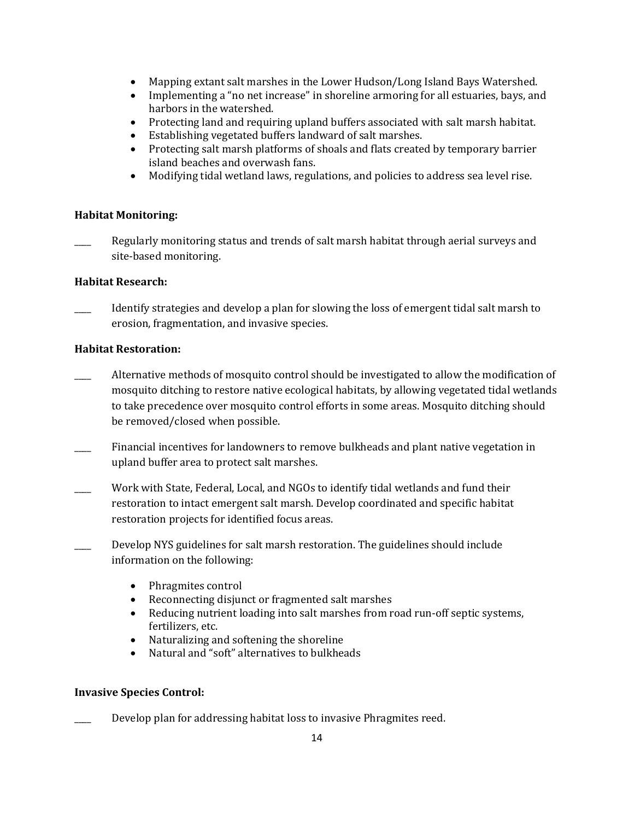- Mapping extant salt marshes in the Lower Hudson/Long Island Bays Watershed.
- Implementing a "no net increase" in shoreline armoring for all estuaries, bays, and harbors in the watershed.
- Protecting land and requiring upland buffers associated with salt marsh habitat.
- Establishing vegetated buffers landward of salt marshes.
- Protecting salt marsh platforms of shoals and flats created by temporary barrier island beaches and overwash fans.
- Modifying tidal wetland laws, regulations, and policies to address sea level rise.

### **Habitat Monitoring:**

Regularly monitoring status and trends of salt marsh habitat through aerial surveys and site-based monitoring.

### **Habitat Research:**

Identify strategies and develop a plan for slowing the loss of emergent tidal salt marsh to erosion, fragmentation, and invasive species.

#### **Habitat Restoration:**

- Alternative methods of mosquito control should be investigated to allow the modification of mosquito ditching to restore native ecological habitats, by allowing vegetated tidal wetlands to take precedence over mosquito control efforts in some areas. Mosquito ditching should be removed/closed when possible.
- Financial incentives for landowners to remove bulkheads and plant native vegetation in upland buffer area to protect salt marshes.
- Work with State, Federal, Local, and NGOs to identify tidal wetlands and fund their restoration to intact emergent salt marsh. Develop coordinated and specific habitat restoration projects for identified focus areas.
- \_\_\_\_ Develop NYS guidelines for salt marsh restoration. The guidelines should include information on the following:
	- Phragmites control
	- Reconnecting disjunct or fragmented salt marshes
	- Reducing nutrient loading into salt marshes from road run-off septic systems, fertilizers, etc.
	- Naturalizing and softening the shoreline
	- Natural and "soft" alternatives to bulkheads

### **Invasive Species Control:**

Develop plan for addressing habitat loss to invasive Phragmites reed.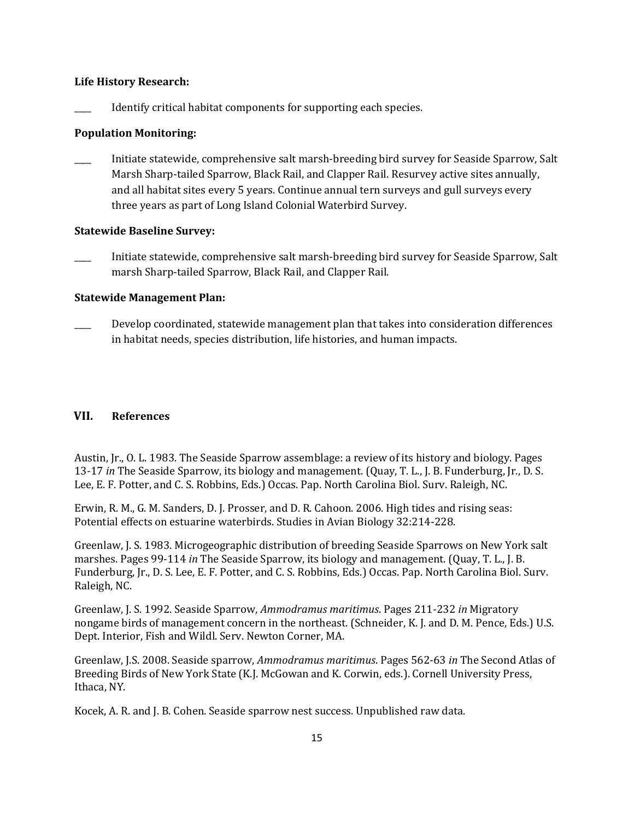#### **Life History Research:**

Identify critical habitat components for supporting each species.

#### **Population Monitoring:**

Initiate statewide, comprehensive salt marsh-breeding bird survey for Seaside Sparrow, Salt Marsh Sharp-tailed Sparrow, Black Rail, and Clapper Rail. Resurvey active sites annually, and all habitat sites every 5 years. Continue annual tern surveys and gull surveys every three years as part of Long Island Colonial Waterbird Survey.

#### **Statewide Baseline Survey:**

\_\_\_\_ Initiate statewide, comprehensive salt marsh-breeding bird survey for Seaside Sparrow, Salt marsh Sharp-tailed Sparrow, Black Rail, and Clapper Rail.

#### **Statewide Management Plan:**

Develop coordinated, statewide management plan that takes into consideration differences in habitat needs, species distribution, life histories, and human impacts.

## **VII. References**

Austin, Jr., O. L. 1983. The Seaside Sparrow assemblage: a review of its history and biology. Pages 13-17 *in* The Seaside Sparrow, its biology and management. (Quay, T. L., J. B. Funderburg, Jr., D. S. Lee, E. F. Potter, and C. S. Robbins, Eds.) Occas. Pap. North Carolina Biol. Surv. Raleigh, NC.

Erwin, R. M., G. M. Sanders, D. J. Prosser, and D. R. Cahoon. 2006. High tides and rising seas: Potential effects on estuarine waterbirds. Studies in Avian Biology 32:214-228.

Greenlaw, J. S. 1983. Microgeographic distribution of breeding Seaside Sparrows on New York salt marshes. Pages 99-114 *in* The Seaside Sparrow, its biology and management. (Quay, T. L., J. B. Funderburg, Jr., D. S. Lee, E. F. Potter, and C. S. Robbins, Eds.) Occas. Pap. North Carolina Biol. Surv. Raleigh, NC.

Greenlaw, J. S. 1992. Seaside Sparrow, *Ammodramus maritimus*. Pages 211-232 *in* Migratory nongame birds of management concern in the northeast. (Schneider, K. J. and D. M. Pence, Eds.) U.S. Dept. Interior, Fish and Wildl. Serv. Newton Corner, MA.

Greenlaw, J.S. 2008. Seaside sparrow, *Ammodramus maritimus*. Pages 562-63 *in* The Second Atlas of Breeding Birds of New York State (K.J. McGowan and K. Corwin, eds.). Cornell University Press, Ithaca, NY.

Kocek, A. R. and J. B. Cohen. Seaside sparrow nest success. Unpublished raw data.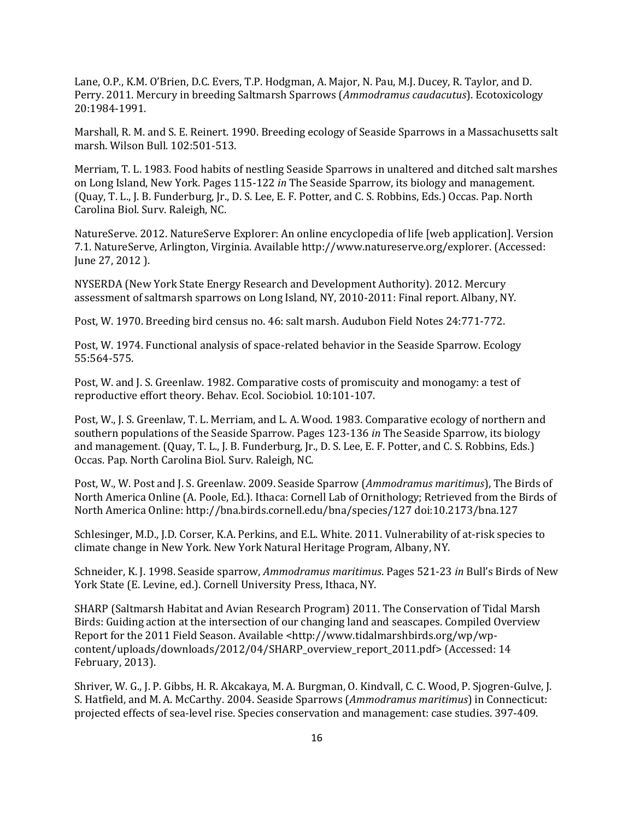Lane, O.P., K.M. O'Brien, D.C. Evers, T.P. Hodgman, A. Major, N. Pau, M.J. Ducey, R. Taylor, and D. Perry. 2011. Mercury in breeding Saltmarsh Sparrows (*Ammodramus caudacutus*). Ecotoxicology 20:1984-1991.

Marshall, R. M. and S. E. Reinert. 1990. Breeding ecology of Seaside Sparrows in a Massachusetts salt marsh. Wilson Bull. 102:501-513.

Merriam, T. L. 1983. Food habits of nestling Seaside Sparrows in unaltered and ditched salt marshes on Long Island, New York. Pages 115-122 *in* The Seaside Sparrow, its biology and management. (Quay, T. L., J. B. Funderburg, Jr., D. S. Lee, E. F. Potter, and C. S. Robbins, Eds.) Occas. Pap. North Carolina Biol. Surv. Raleigh, NC.

NatureServe. 2012. NatureServe Explorer: An online encyclopedia of life [web application]. Version 7.1. NatureServe, Arlington, Virginia. Available http://www.natureserve.org/explorer. (Accessed: June 27, 2012 ).

NYSERDA (New York State Energy Research and Development Authority). 2012. Mercury assessment of saltmarsh sparrows on Long Island, NY, 2010-2011: Final report. Albany, NY.

Post, W. 1970. Breeding bird census no. 46: salt marsh. Audubon Field Notes 24:771-772.

Post, W. 1974. Functional analysis of space-related behavior in the Seaside Sparrow. Ecology 55:564-575.

Post, W. and J. S. Greenlaw. 1982. Comparative costs of promiscuity and monogamy: a test of reproductive effort theory. Behav. Ecol. Sociobiol. 10:101-107.

Post, W., J. S. Greenlaw, T. L. Merriam, and L. A. Wood. 1983. Comparative ecology of northern and southern populations of the Seaside Sparrow. Pages 123-136 *in* The Seaside Sparrow, its biology and management. (Quay, T. L., J. B. Funderburg, Jr., D. S. Lee, E. F. Potter, and C. S. Robbins, Eds.) Occas. Pap. North Carolina Biol. Surv. Raleigh, NC.

Post, W., W. Post and J. S. Greenlaw. 2009. Seaside Sparrow (*Ammodramus maritimus*), The Birds of North America Online (A. Poole, Ed.). Ithaca: Cornell Lab of Ornithology; Retrieved from the Birds of North America Online: http://bna.birds.cornell.edu/bna/species/127 doi:10.2173/bna.127

Schlesinger, M.D., J.D. Corser, K.A. Perkins, and E.L. White. 2011. Vulnerability of at-risk species to climate change in New York. New York Natural Heritage Program, Albany, NY.

Schneider, K. J. 1998. Seaside sparrow, *Ammodramus maritimus*. Pages 521-23 *in* Bull's Birds of New York State (E. Levine, ed.). Cornell University Press, Ithaca, NY.

SHARP (Saltmarsh Habitat and Avian Research Program) 2011. The Conservation of Tidal Marsh Birds: Guiding action at the intersection of our changing land and seascapes. Compiled Overview Report for the 2011 Field Season. Available <http://www.tidalmarshbirds.org/wp/wpcontent/uploads/downloads/2012/04/SHARP\_overview\_report\_2011.pdf> (Accessed: 14 February, 2013).

Shriver, W. G., J. P. Gibbs, H. R. Akcakaya, M. A. Burgman, O. Kindvall, C. C. Wood, P. Sjogren-Gulve, J. S. Hatfield, and M. A. McCarthy. 2004. Seaside Sparrows (*Ammodramus maritimus*) in Connecticut: projected effects of sea-level rise. Species conservation and management: case studies. 397-409.